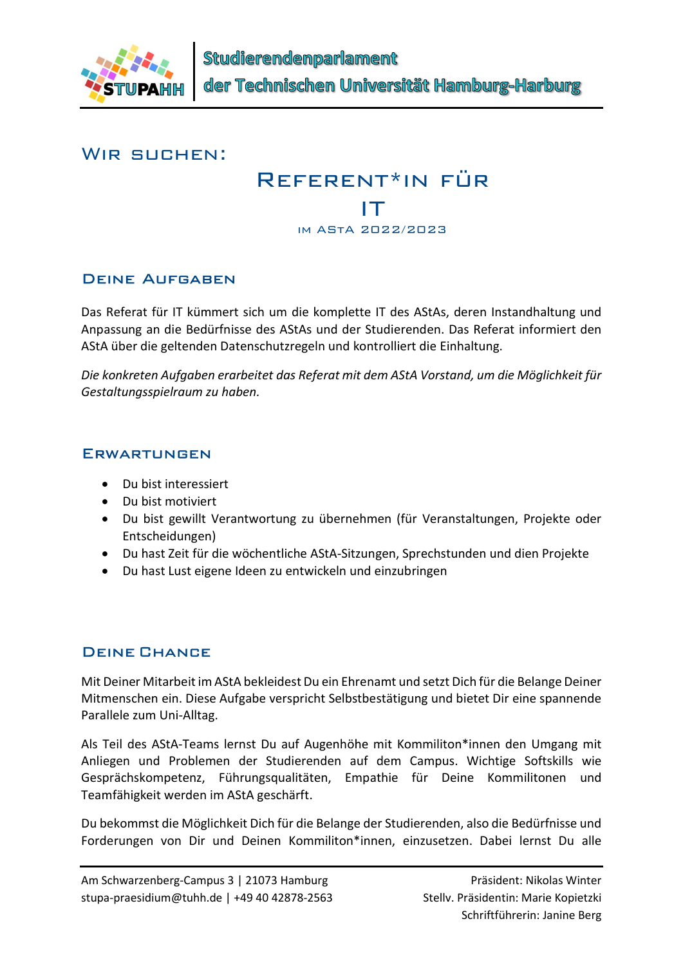

### WIR SUCHEN:

# Referent\*in für IT im AStA 2022/2023

### Deine Aufgaben

Das Referat für IT kümmert sich um die komplette IT des AStAs, deren Instandhaltung und Anpassung an die Bedürfnisse des AStAs und der Studierenden. Das Referat informiert den AStA über die geltenden Datenschutzregeln und kontrolliert die Einhaltung.

Die konkreten Aufgaben erarbeitet das Referat mit dem AStA Vorstand, um die Möglichkeit für Gestaltungsspielraum zu haben.

#### **ERWARTUNGEN**

- Du bist interessiert
- Du bist motiviert
- Du bist gewillt Verantwortung zu übernehmen (für Veranstaltungen, Projekte oder Entscheidungen)
- Du hast Zeit für die wöchentliche AStA-Sitzungen, Sprechstunden und dien Projekte
- Du hast Lust eigene Ideen zu entwickeln und einzubringen

### Deine Chance

Mit Deiner Mitarbeit im AStA bekleidest Du ein Ehrenamt und setzt Dich für die Belange Deiner Mitmenschen ein. Diese Aufgabe verspricht Selbstbestätigung und bietet Dir eine spannende Parallele zum Uni-Alltag.

Als Teil des AStA-Teams lernst Du auf Augenhöhe mit Kommiliton\*innen den Umgang mit Anliegen und Problemen der Studierenden auf dem Campus. Wichtige Softskills wie Gesprächskompetenz, Führungsqualitäten, Empathie für Deine Kommilitonen und Teamfähigkeit werden im AStA geschärft.

Du bekommst die Möglichkeit Dich für die Belange der Studierenden, also die Bedürfnisse und Forderungen von Dir und Deinen Kommiliton\*innen, einzusetzen. Dabei lernst Du alle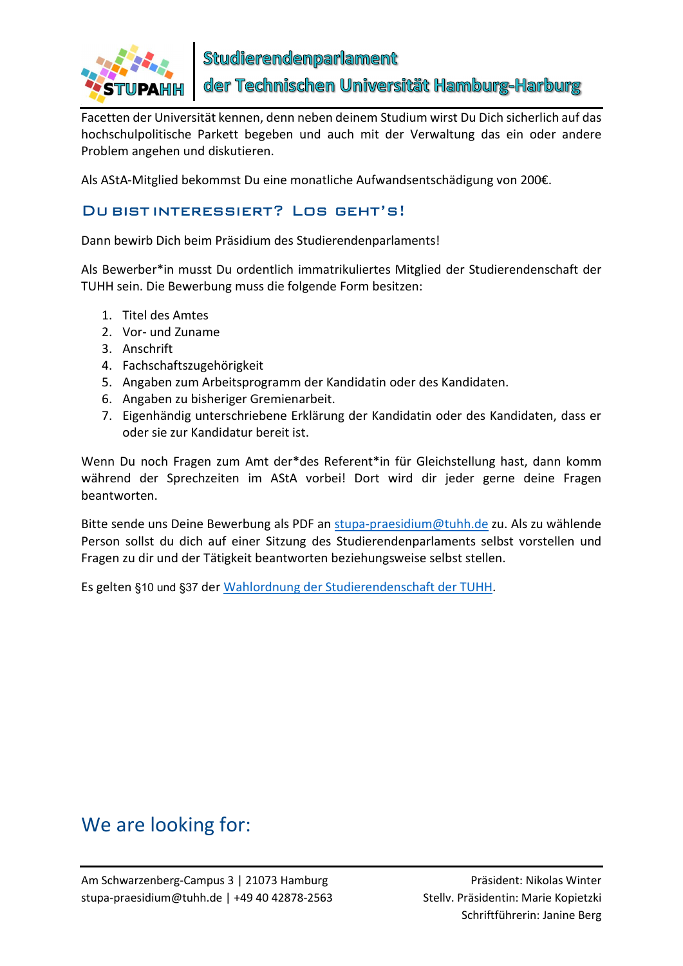

der Technischen Universität Hamburg-Harburg

Facetten der Universität kennen, denn neben deinem Studium wirst Du Dich sicherlich auf das hochschulpolitische Parkett begeben und auch mit der Verwaltung das ein oder andere Problem angehen und diskutieren.

Als AStA-Mitglied bekommst Du eine monatliche Aufwandsentschädigung von 200€.

### Du bist interessiert? Los geht's!

Dann bewirb Dich beim Präsidium des Studierendenparlaments!

Als Bewerber\*in musst Du ordentlich immatrikuliertes Mitglied der Studierendenschaft der TUHH sein. Die Bewerbung muss die folgende Form besitzen:

- 1. Titel des Amtes
- 2. Vor- und Zuname
- 3. Anschrift
- 4. Fachschaftszugehörigkeit
- 5. Angaben zum Arbeitsprogramm der Kandidatin oder des Kandidaten.
- 6. Angaben zu bisheriger Gremienarbeit.
- 7. Eigenhändig unterschriebene Erklärung der Kandidatin oder des Kandidaten, dass er oder sie zur Kandidatur bereit ist.

Wenn Du noch Fragen zum Amt der\*des Referent\*in für Gleichstellung hast, dann komm während der Sprechzeiten im AStA vorbei! Dort wird dir jeder gerne deine Fragen beantworten.

Bitte sende uns Deine Bewerbung als PDF an stupa-praesidium@tuhh.de zu. Als zu wählende Person sollst du dich auf einer Sitzung des Studierendenparlaments selbst vorstellen und Fragen zu dir und der Tätigkeit beantworten beziehungsweise selbst stellen.

Es gelten §10 und §37 der Wahlordnung der Studierendenschaft der TUHH.

# We are looking for: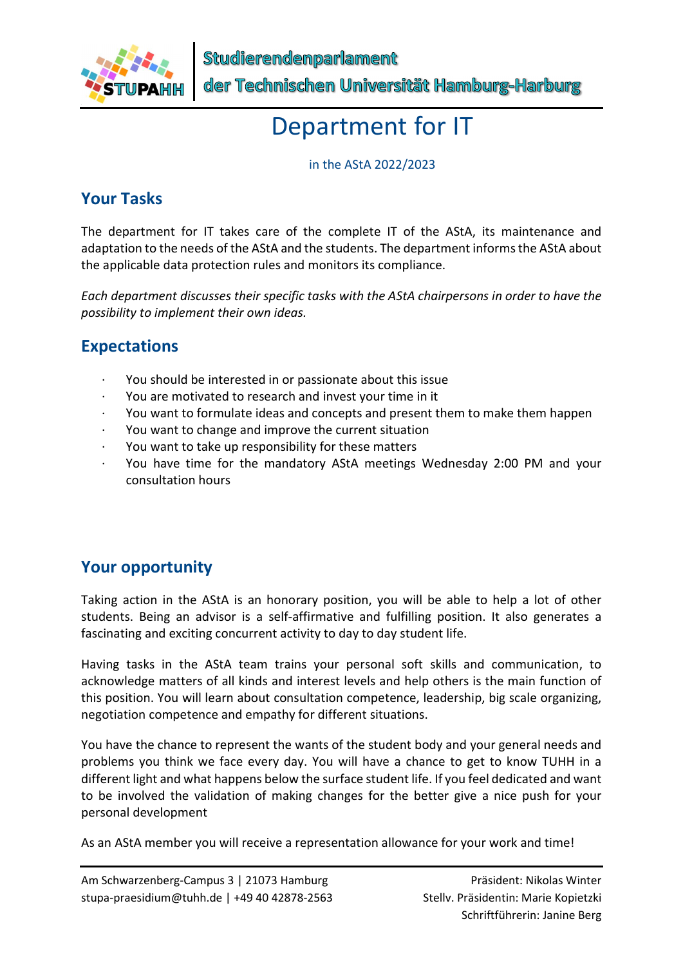

# Department for IT

in the AStA 2022/2023

## Your Tasks

The department for IT takes care of the complete IT of the AStA, its maintenance and adaptation to the needs of the AStA and the students. The department informs the AStA about the applicable data protection rules and monitors its compliance.

Each department discusses their specific tasks with the AStA chairpersons in order to have the possibility to implement their own ideas.

## Expectations

- · You should be interested in or passionate about this issue
- · You are motivated to research and invest your time in it
- · You want to formulate ideas and concepts and present them to make them happen
- You want to change and improve the current situation
- · You want to take up responsibility for these matters
- · You have time for the mandatory AStA meetings Wednesday 2:00 PM and your consultation hours

## Your opportunity

Taking action in the AStA is an honorary position, you will be able to help a lot of other students. Being an advisor is a self-affirmative and fulfilling position. It also generates a fascinating and exciting concurrent activity to day to day student life.

Having tasks in the AStA team trains your personal soft skills and communication, to acknowledge matters of all kinds and interest levels and help others is the main function of this position. You will learn about consultation competence, leadership, big scale organizing, negotiation competence and empathy for different situations.

You have the chance to represent the wants of the student body and your general needs and problems you think we face every day. You will have a chance to get to know TUHH in a different light and what happens below the surface student life. If you feel dedicated and want to be involved the validation of making changes for the better give a nice push for your personal development

As an AStA member you will receive a representation allowance for your work and time!